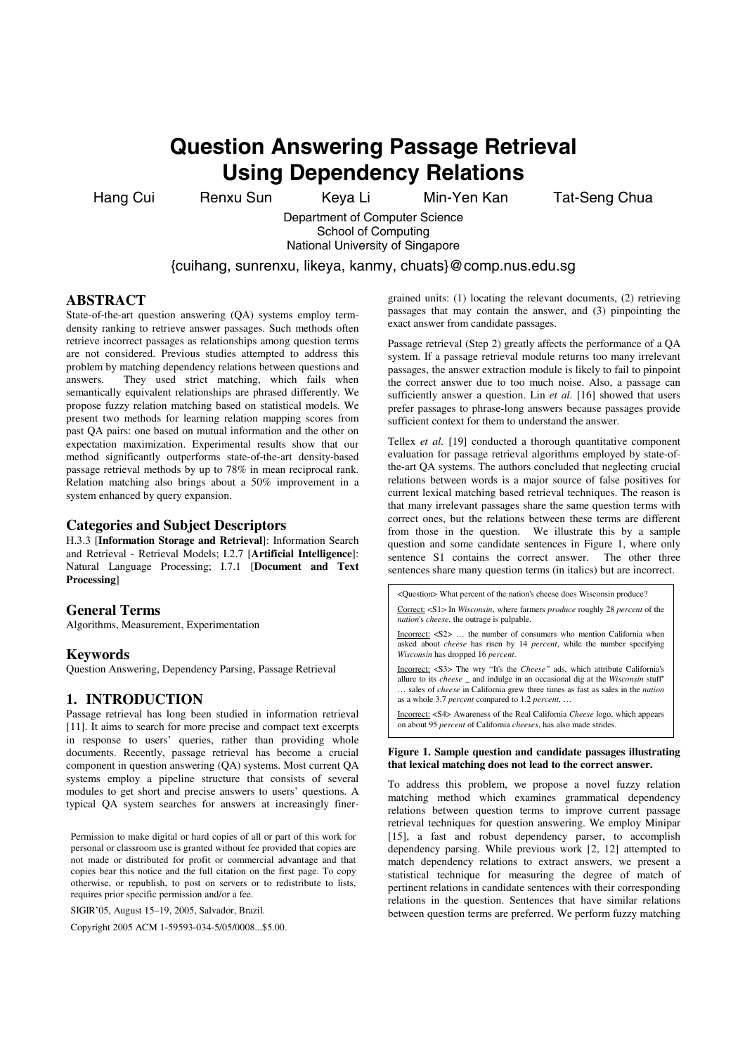# **Question Answering Passage Retrieval Using Dependency Relations**

Hang Cui Renxu Sun Keya Li Min-Yen Kan Tat-Seng Chua

Department of Computer Science School of Computing National University of Singapore

{cuihang, sunrenxu, likeya, kanmy, chuats}@comp.nus.edu.sg

# **ABSTRACT**

State-of-the-art question answering (QA) systems employ termdensity ranking to retrieve answer passages. Such methods often retrieve incorrect passages as relationships among question terms are not considered. Previous studies attempted to address this problem by matching dependency relations between questions and answers. They used strict matching, which fails when semantically equivalent relationships are phrased differently. We propose fuzzy relation matching based on statistical models. We present two methods for learning relation mapping scores from past QA pairs: one based on mutual information and the other on expectation maximization. Experimental results show that our method significantly outperforms state-of-the-art density-based passage retrieval methods by up to 78% in mean reciprocal rank. Relation matching also brings about a 50% improvement in a system enhanced by query expansion.

### **Categories and Subject Descriptors**

H.3.3 [**Information Storage and Retrieval**]: Information Search and Retrieval - Retrieval Models; I.2.7 [**Artificial Intelligence**]: Natural Language Processing; I.7.1 [**Document and Text Processing**]

## **General Terms**

Algorithms, Measurement, Experimentation

#### **Keywords**

Question Answering, Dependency Parsing, Passage Retrieval

## **1. INTRODUCTION**

Passage retrieval has long been studied in information retrieval [11]. It aims to search for more precise and compact text excerpts in response to users' queries, rather than providing whole documents. Recently, passage retrieval has become a crucial component in question answering (QA) systems. Most current QA systems employ a pipeline structure that consists of several modules to get short and precise answers to users' questions. A typical QA system searches for answers at increasingly finer-

Permission to make digital or hard copies of all or part of this work for personal or classroom use is granted without fee provided that copies are not made or distributed for profit or commercial advantage and that copies bear this notice and the full citation on the first page. To copy otherwise, or republish, to post on servers or to redistribute to lists, requires prior specific permission and/or a fee.

SIGIR'05, August 15–19, 2005, Salvador, Brazil.

Copyright 2005 ACM 1-59593-034-5/05/0008...\$5.00.

grained units: (1) locating the relevant documents, (2) retrieving passages that may contain the answer, and (3) pinpointing the exact answer from candidate passages.

Passage retrieval (Step 2) greatly affects the performance of a QA system. If a passage retrieval module returns too many irrelevant passages, the answer extraction module is likely to fail to pinpoint the correct answer due to too much noise. Also, a passage can sufficiently answer a question. Lin et al. [16] showed that users prefer passages to phrase-long answers because passages provide sufficient context for them to understand the answer.

Tellex *et al.* [19] conducted a thorough quantitative component evaluation for passage retrieval algorithms employed by state-ofthe-art QA systems. The authors concluded that neglecting crucial relations between words is a major source of false positives for current lexical matching based retrieval techniques. The reason is that many irrelevant passages share the same question terms with correct ones, but the relations between these terms are different from those in the question. We illustrate this by a sample question and some candidate sentences in Figure 1, where only sentence S1 contains the correct answer. The other three sentences share many question terms (in italics) but are incorrect.

<Question> What percent of the nation's cheese does Wisconsin produce? Correct: <S1> In *Wisconsin*, where farmers *produce* roughly 28 *percent* of the *nation*'s *cheese*, the outrage is palpable. Incorrect: <S2> … the number of consumers who mention California when asked about *cheese* has risen by 14 *percent*, while the number specifying *Wisconsin* has dropped 16 *percent*. Incorrect: <S3> The wry "It's the *Cheese"* ads, which attribute California's allure to its *cheese* \_ and indulge in an occasional dig at the *Wisconsin* stuff'' … sales of *cheese* in California grew three times as fast as sales in the *nation* as a whole 3.7 *percent* compared to 1.2 *percent*, … Incorrect: <S4> Awareness of the Real California *Cheese* logo, which appears on about 95 *percent* of California *cheeses*, has also made strides.

#### **Figure 1. Sample question and candidate passages illustrating that lexical matching does not lead to the correct answer.**

To address this problem, we propose a novel fuzzy relation matching method which examines grammatical dependency relations between question terms to improve current passage retrieval techniques for question answering. We employ Minipar [15], a fast and robust dependency parser, to accomplish dependency parsing. While previous work [2, 12] attempted to match dependency relations to extract answers, we present a statistical technique for measuring the degree of match of pertinent relations in candidate sentences with their corresponding relations in the question. Sentences that have similar relations between question terms are preferred. We perform fuzzy matching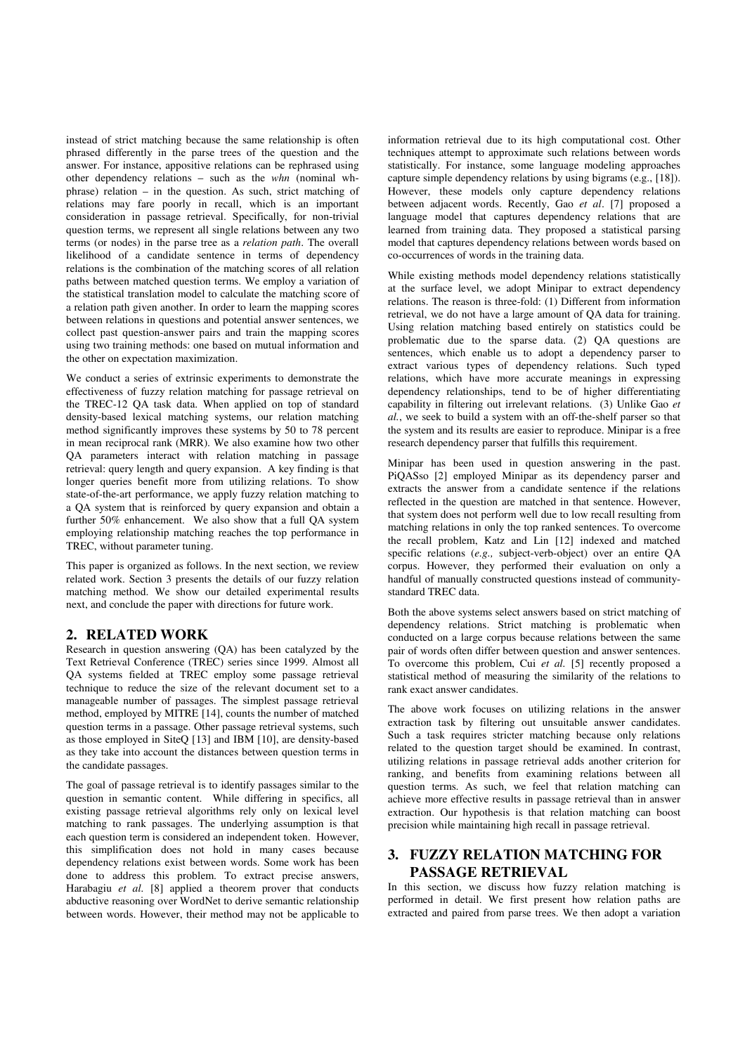instead of strict matching because the same relationship is often phrased differently in the parse trees of the question and the answer. For instance, appositive relations can be rephrased using other dependency relations – such as the *whn* (nominal whphrase) relation – in the question. As such, strict matching of relations may fare poorly in recall, which is an important consideration in passage retrieval. Specifically, for non-trivial question terms, we represent all single relations between any two terms (or nodes) in the parse tree as a *relation path*. The overall likelihood of a candidate sentence in terms of dependency relations is the combination of the matching scores of all relation paths between matched question terms. We employ a variation of the statistical translation model to calculate the matching score of a relation path given another. In order to learn the mapping scores between relations in questions and potential answer sentences, we collect past question-answer pairs and train the mapping scores using two training methods: one based on mutual information and the other on expectation maximization.

We conduct a series of extrinsic experiments to demonstrate the effectiveness of fuzzy relation matching for passage retrieval on the TREC-12 QA task data. When applied on top of standard density-based lexical matching systems, our relation matching method significantly improves these systems by 50 to 78 percent in mean reciprocal rank (MRR). We also examine how two other QA parameters interact with relation matching in passage retrieval: query length and query expansion. A key finding is that longer queries benefit more from utilizing relations. To show state-of-the-art performance, we apply fuzzy relation matching to a QA system that is reinforced by query expansion and obtain a further 50% enhancement. We also show that a full QA system employing relationship matching reaches the top performance in TREC, without parameter tuning.

This paper is organized as follows. In the next section, we review related work. Section 3 presents the details of our fuzzy relation matching method. We show our detailed experimental results next, and conclude the paper with directions for future work.

# **2. RELATED WORK**

Research in question answering (QA) has been catalyzed by the Text Retrieval Conference (TREC) series since 1999. Almost all QA systems fielded at TREC employ some passage retrieval technique to reduce the size of the relevant document set to a manageable number of passages. The simplest passage retrieval method, employed by MITRE [14], counts the number of matched question terms in a passage. Other passage retrieval systems, such as those employed in SiteQ [13] and IBM [10], are density-based as they take into account the distances between question terms in the candidate passages.

The goal of passage retrieval is to identify passages similar to the question in semantic content. While differing in specifics, all existing passage retrieval algorithms rely only on lexical level matching to rank passages. The underlying assumption is that each question term is considered an independent token. However, this simplification does not hold in many cases because dependency relations exist between words. Some work has been done to address this problem. To extract precise answers, Harabagiu *et al.* [8] applied a theorem prover that conducts abductive reasoning over WordNet to derive semantic relationship between words. However, their method may not be applicable to

information retrieval due to its high computational cost. Other techniques attempt to approximate such relations between words statistically. For instance, some language modeling approaches capture simple dependency relations by using bigrams (e.g., [18]). However, these models only capture dependency relations between adjacent words. Recently, Gao *et al*. [7] proposed a language model that captures dependency relations that are learned from training data. They proposed a statistical parsing model that captures dependency relations between words based on co-occurrences of words in the training data.

While existing methods model dependency relations statistically at the surface level, we adopt Minipar to extract dependency relations. The reason is three-fold: (1) Different from information retrieval, we do not have a large amount of QA data for training. Using relation matching based entirely on statistics could be problematic due to the sparse data. (2) QA questions are sentences, which enable us to adopt a dependency parser to extract various types of dependency relations. Such typed relations, which have more accurate meanings in expressing dependency relationships, tend to be of higher differentiating capability in filtering out irrelevant relations. (3) Unlike Gao *et al.*, we seek to build a system with an off-the-shelf parser so that the system and its results are easier to reproduce. Minipar is a free research dependency parser that fulfills this requirement.

Minipar has been used in question answering in the past. PiQASso [2] employed Minipar as its dependency parser and extracts the answer from a candidate sentence if the relations reflected in the question are matched in that sentence. However, that system does not perform well due to low recall resulting from matching relations in only the top ranked sentences. To overcome the recall problem, Katz and Lin [12] indexed and matched specific relations (*e.g.,* subject-verb-object) over an entire QA corpus. However, they performed their evaluation on only a handful of manually constructed questions instead of communitystandard TREC data.

Both the above systems select answers based on strict matching of dependency relations. Strict matching is problematic when conducted on a large corpus because relations between the same pair of words often differ between question and answer sentences. To overcome this problem, Cui *et al.* [5] recently proposed a statistical method of measuring the similarity of the relations to rank exact answer candidates.

The above work focuses on utilizing relations in the answer extraction task by filtering out unsuitable answer candidates. Such a task requires stricter matching because only relations related to the question target should be examined. In contrast, utilizing relations in passage retrieval adds another criterion for ranking, and benefits from examining relations between all question terms. As such, we feel that relation matching can achieve more effective results in passage retrieval than in answer extraction. Our hypothesis is that relation matching can boost precision while maintaining high recall in passage retrieval.

# **3. FUZZY RELATION MATCHING FOR PASSAGE RETRIEVAL**

In this section, we discuss how fuzzy relation matching is performed in detail. We first present how relation paths are extracted and paired from parse trees. We then adopt a variation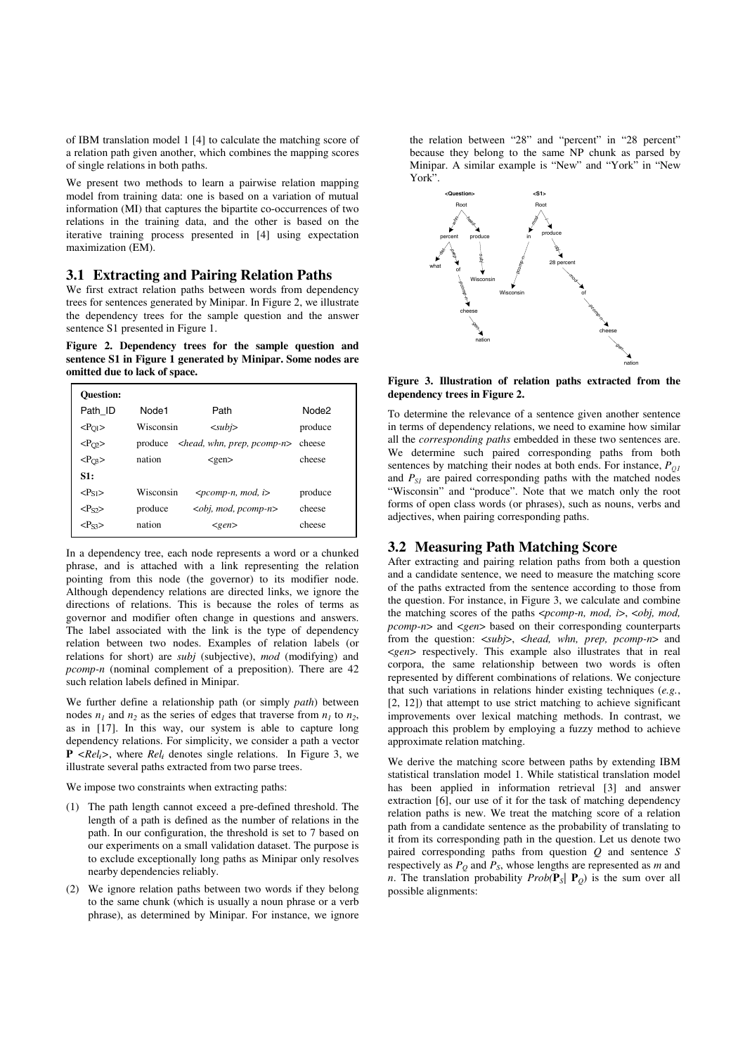of IBM translation model 1 [4] to calculate the matching score of a relation path given another, which combines the mapping scores of single relations in both paths.

We present two methods to learn a pairwise relation mapping model from training data: one is based on a variation of mutual information (MI) that captures the bipartite co-occurrences of two relations in the training data, and the other is based on the iterative training process presented in [4] using expectation maximization (EM).

## **3.1 Extracting and Pairing Relation Paths**

We first extract relation paths between words from dependency trees for sentences generated by Minipar. In Figure 2, we illustrate the dependency trees for the sample question and the answer sentence S1 presented in Figure 1.

**Figure 2. Dependency trees for the sample question and sentence S1 in Figure 1 generated by Minipar. Some nodes are omitted due to lack of space.** 

| <b>Ouestion:</b>   |           |                                    |                   |
|--------------------|-----------|------------------------------------|-------------------|
| Path ID            | Node1     | Path                               | Node <sub>2</sub> |
| $<\!\!P_{Q1}\!\!>$ | Wisconsin | $subi$                             | produce           |
| $<\!\!P_{Q2}\!\!>$ | produce   | $\leq$ head, whn, prep, p $comp-n$ | cheese            |
| $<\!\!P_{O3}\!\!>$ | nation    | $<$ gen $>$                        | cheese            |
| S1:                |           |                                    |                   |
| $P_{S1}$           | Wisconsin | $\leq pcomp-n, mod, i$             | produce           |
| $<\!\!P_{S2}\!\!>$ | produce   | $\leq$ obj, mod, p $comp-n$        | cheese            |
| $P$ ss>            | nation    | <gen></gen>                        | cheese            |

In a dependency tree, each node represents a word or a chunked phrase, and is attached with a link representing the relation pointing from this node (the governor) to its modifier node. Although dependency relations are directed links, we ignore the directions of relations. This is because the roles of terms as governor and modifier often change in questions and answers. The label associated with the link is the type of dependency relation between two nodes. Examples of relation labels (or relations for short) are *subj* (subjective), *mod* (modifying) and *pcomp-n* (nominal complement of a preposition). There are 42 such relation labels defined in Minipar.

We further define a relationship path (or simply *path*) between nodes  $n_1$  and  $n_2$  as the series of edges that traverse from  $n_1$  to  $n_2$ , as in [17]. In this way, our system is able to capture long dependency relations. For simplicity, we consider a path a vector  $P \leq Rel_i$ , where  $Rel_i$  denotes single relations. In Figure 3, we illustrate several paths extracted from two parse trees.

We impose two constraints when extracting paths:

- (1) The path length cannot exceed a pre-defined threshold. The length of a path is defined as the number of relations in the path. In our configuration, the threshold is set to 7 based on our experiments on a small validation dataset. The purpose is to exclude exceptionally long paths as Minipar only resolves nearby dependencies reliably.
- (2) We ignore relation paths between two words if they belong to the same chunk (which is usually a noun phrase or a verb phrase), as determined by Minipar. For instance, we ignore

the relation between "28" and "percent" in "28 percent" because they belong to the same NP chunk as parsed by Minipar. A similar example is "New" and "York" in "New York".



#### **Figure 3. Illustration of relation paths extracted from the dependency trees in Figure 2.**

To determine the relevance of a sentence given another sentence in terms of dependency relations, we need to examine how similar all the *corresponding paths* embedded in these two sentences are. We determine such paired corresponding paths from both sentences by matching their nodes at both ends. For instance,  $P_{QI}$ and  $P_{SI}$  are paired corresponding paths with the matched nodes "Wisconsin" and "produce". Note that we match only the root forms of open class words (or phrases), such as nouns, verbs and adjectives, when pairing corresponding paths.

#### **3.2 Measuring Path Matching Score**

After extracting and pairing relation paths from both a question and a candidate sentence, we need to measure the matching score of the paths extracted from the sentence according to those from the question. For instance, in Figure 3, we calculate and combine the matching scores of the paths <*pcomp-n, mod, i*>, <*obj, mod, pcomp-n*> and <*gen*> based on their corresponding counterparts from the question: <*subj*>, <*head, whn, prep, pcomp-n*> and <*gen*> respectively. This example also illustrates that in real corpora, the same relationship between two words is often represented by different combinations of relations. We conjecture that such variations in relations hinder existing techniques (*e.g.*, [2, 12]) that attempt to use strict matching to achieve significant improvements over lexical matching methods. In contrast, we approach this problem by employing a fuzzy method to achieve approximate relation matching.

We derive the matching score between paths by extending IBM statistical translation model 1. While statistical translation model has been applied in information retrieval [3] and answer extraction [6], our use of it for the task of matching dependency relation paths is new. We treat the matching score of a relation path from a candidate sentence as the probability of translating to it from its corresponding path in the question. Let us denote two paired corresponding paths from question *Q* and sentence *S*  respectively as  $P_Q$  and  $P_S$ , whose lengths are represented as  $m$  and *n*. The translation probability *Prob*( $P_s$ |  $P_o$ ) is the sum over all possible alignments: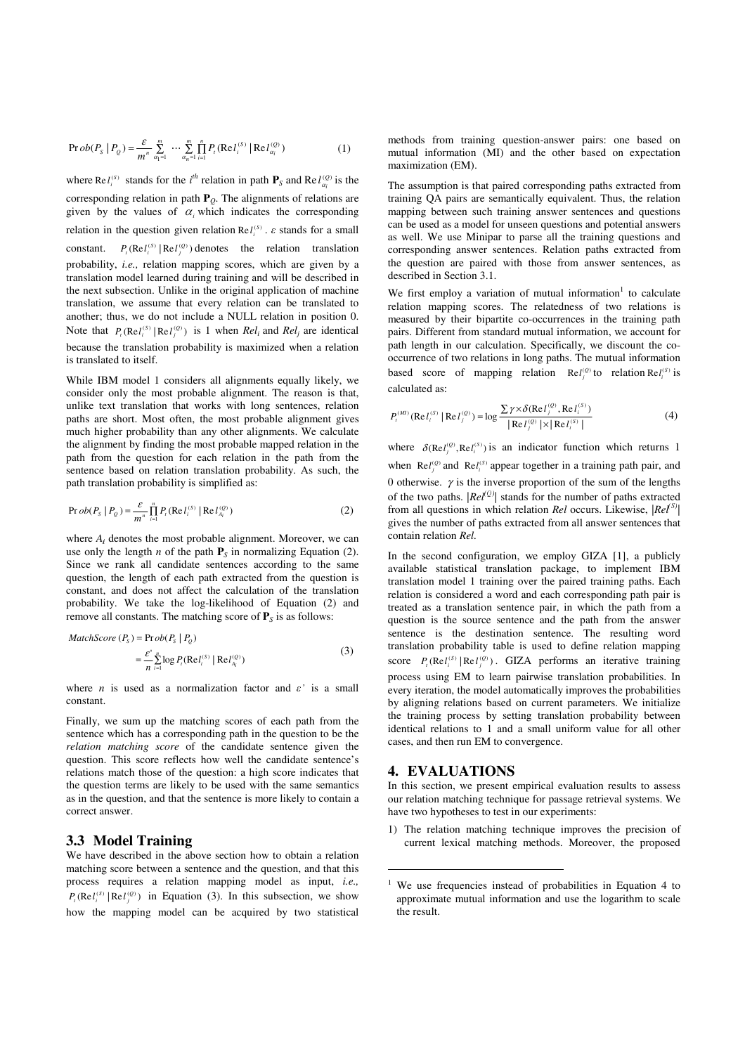$$
\Pr{ob(P_s | P_Q) = \frac{\varepsilon}{m^n} \sum_{\alpha_1=1}^m \cdots \sum_{\alpha_n=1}^m \prod_{i=1}^n P_i(\text{Re} l_i^{(S)} | \text{Re} l_{\alpha_i}^{(Q)})}
$$
(1)

where Re  $I_i^{(S)}$  stands for the *i*<sup>th</sup> relation in path  $P_S$  and Re  $I_{\alpha_i}^{(Q)}$  is the corresponding relation in path **P***Q*. The alignments of relations are given by the values of  $\alpha$  which indicates the corresponding relation in the question given relation  $\text{Re } l_i^{(s)}$ .  $\varepsilon$  stands for a small constant.  $P_i(\text{Re } l_i^{(S)} | \text{Re } l_j^{(Q)})$  denotes the relation translation probability, *i.e.,* relation mapping scores, which are given by a translation model learned during training and will be described in the next subsection. Unlike in the original application of machine translation, we assume that every relation can be translated to another; thus, we do not include a NULL relation in position 0. Note that  $P_i(\text{Re } l_i^{(S)} | \text{Re } l_i^{(Q)})$  is 1 when  $\text{Re } l_i$  and  $\text{Re } l_j$  are identical because the translation probability is maximized when a relation is translated to itself.

While IBM model 1 considers all alignments equally likely, we consider only the most probable alignment. The reason is that, unlike text translation that works with long sentences, relation paths are short. Most often, the most probable alignment gives much higher probability than any other alignments. We calculate the alignment by finding the most probable mapped relation in the path from the question for each relation in the path from the sentence based on relation translation probability. As such, the path translation probability is simplified as:

$$
\Pr{ob(P_s | P_Q) = \frac{\varepsilon}{m^n} \prod_{i=1}^n P_i(\text{Re } l_i^{(S)} | \text{Re } l_{A_i}^{(Q)})}
$$
 (2)

where  $A_i$  denotes the most probable alignment. Moreover, we can use only the length *n* of the path  $P_s$  in normalizing Equation (2). Since we rank all candidate sentences according to the same question, the length of each path extracted from the question is constant, and does not affect the calculation of the translation probability. We take the log-likelihood of Equation (2) and remove all constants. The matching score of  $P<sub>S</sub>$  is as follows:

$$
MatchScore (PS) = Prob(PS | PQ)
$$
  
= 
$$
\frac{\varepsilon'}{n} \sum_{i=1}^{n} \log Pi (Refi(S) | RefAi(Q))
$$
 (3)

where *n* is used as a normalization factor and  $\varepsilon$  is a small constant.

Finally, we sum up the matching scores of each path from the sentence which has a corresponding path in the question to be the *relation matching score* of the candidate sentence given the question. This score reflects how well the candidate sentence's relations match those of the question: a high score indicates that the question terms are likely to be used with the same semantics as in the question, and that the sentence is more likely to contain a correct answer.

# **3.3 Model Training**

We have described in the above section how to obtain a relation matching score between a sentence and the question, and that this process requires a relation mapping model as input, *i.e.,*   $P_i(\text{Re }l_i^{(S)} | \text{Re }l_j^{(Q)})$  in Equation (3). In this subsection, we show how the mapping model can be acquired by two statistical

methods from training question-answer pairs: one based on mutual information (MI) and the other based on expectation maximization (EM).

The assumption is that paired corresponding paths extracted from training QA pairs are semantically equivalent. Thus, the relation mapping between such training answer sentences and questions can be used as a model for unseen questions and potential answers as well. We use Minipar to parse all the training questions and corresponding answer sentences. Relation paths extracted from the question are paired with those from answer sentences, as described in Section 3.1.

We first employ a variation of mutual information<sup>1</sup> to calculate relation mapping scores. The relatedness of two relations is measured by their bipartite co-occurrences in the training path pairs. Different from standard mutual information, we account for path length in our calculation. Specifically, we discount the cooccurrence of two relations in long paths. The mutual information based score of mapping relation  $\text{Re} l_j^{(0)}$  to relation  $\text{Re} l_i^{(s)}$  is calculated as:

$$
P_t^{(MI)}(\text{Re } l_i^{(S)} | \text{Re } l_j^{(Q)}) = \log \frac{\sum \gamma \times \delta(\text{Re } l_j^{(Q)}, \text{Re } l_i^{(S)})}{|\text{Re } l_j^{(Q)} | \times |\text{Re } l_i^{(S)} |}
$$
(4)

where  $\delta(\text{Re} l_i^{(0)}, \text{Re} l_i^{(S)})$  is an indicator function which returns 1 when  $\text{Re} l_i^{(0)}$  and  $\text{Re} l_i^{(S)}$  appear together in a training path pair, and 0 otherwise.  $\gamma$  is the inverse proportion of the sum of the lengths of the two paths.  $|Re^{l^{(Q)}}|$  stands for the number of paths extracted from all questions in which relation *Rel* occurs. Likewise, *|Rel|* gives the number of paths extracted from all answer sentences that contain relation *Rel.*

In the second configuration, we employ GIZA [1], a publicly available statistical translation package, to implement IBM translation model 1 training over the paired training paths. Each relation is considered a word and each corresponding path pair is treated as a translation sentence pair, in which the path from a question is the source sentence and the path from the answer sentence is the destination sentence. The resulting word translation probability table is used to define relation mapping score  $P_i(\text{Re } l_i^{(S)} | \text{Re } l_j^{(Q)})$ . GIZA performs an iterative training process using EM to learn pairwise translation probabilities. In every iteration, the model automatically improves the probabilities by aligning relations based on current parameters. We initialize the training process by setting translation probability between identical relations to 1 and a small uniform value for all other cases, and then run EM to convergence.

### **4. EVALUATIONS**

 $\overline{a}$ 

In this section, we present empirical evaluation results to assess our relation matching technique for passage retrieval systems. We have two hypotheses to test in our experiments:

1) The relation matching technique improves the precision of current lexical matching methods. Moreover, the proposed

<sup>&</sup>lt;sup>1</sup> We use frequencies instead of probabilities in Equation 4 to approximate mutual information and use the logarithm to scale the result.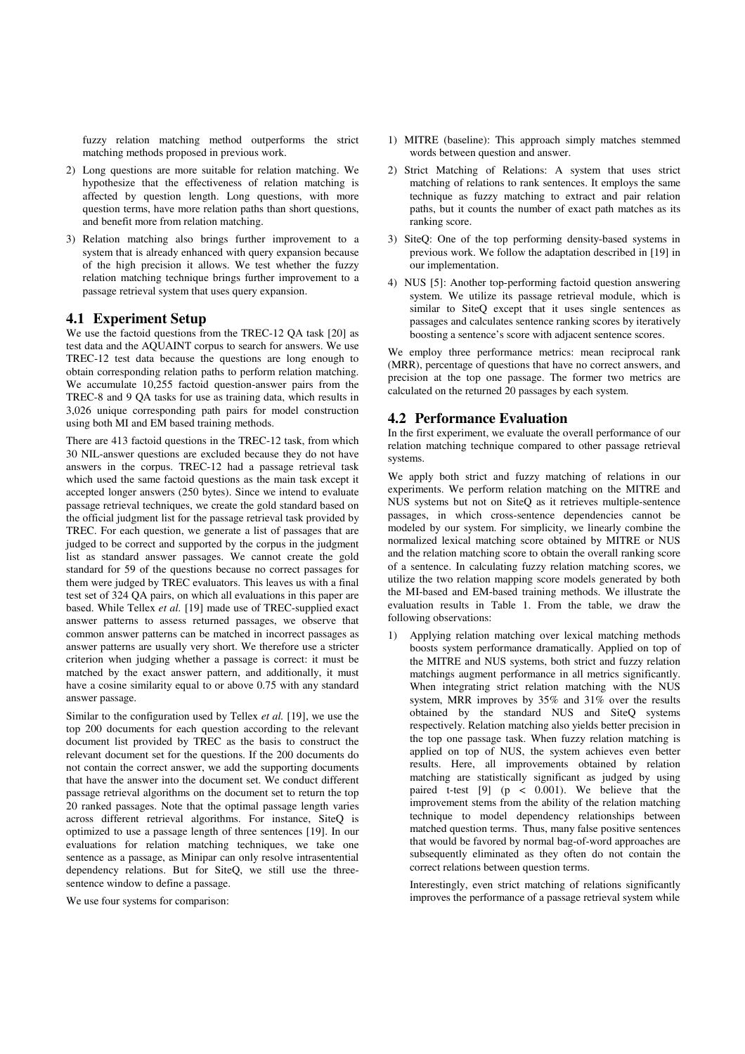fuzzy relation matching method outperforms the strict matching methods proposed in previous work.

- 2) Long questions are more suitable for relation matching. We hypothesize that the effectiveness of relation matching is affected by question length. Long questions, with more question terms, have more relation paths than short questions, and benefit more from relation matching.
- 3) Relation matching also brings further improvement to a system that is already enhanced with query expansion because of the high precision it allows. We test whether the fuzzy relation matching technique brings further improvement to a passage retrieval system that uses query expansion.

# **4.1 Experiment Setup**

We use the factoid questions from the TREC-12 QA task [20] as test data and the AQUAINT corpus to search for answers. We use TREC-12 test data because the questions are long enough to obtain corresponding relation paths to perform relation matching. We accumulate 10,255 factoid question-answer pairs from the TREC-8 and 9 QA tasks for use as training data, which results in 3,026 unique corresponding path pairs for model construction using both MI and EM based training methods.

There are 413 factoid questions in the TREC-12 task, from which 30 NIL-answer questions are excluded because they do not have answers in the corpus. TREC-12 had a passage retrieval task which used the same factoid questions as the main task except it accepted longer answers (250 bytes). Since we intend to evaluate passage retrieval techniques, we create the gold standard based on the official judgment list for the passage retrieval task provided by TREC. For each question, we generate a list of passages that are judged to be correct and supported by the corpus in the judgment list as standard answer passages. We cannot create the gold standard for 59 of the questions because no correct passages for them were judged by TREC evaluators. This leaves us with a final test set of 324 QA pairs, on which all evaluations in this paper are based. While Tellex *et al.* [19] made use of TREC-supplied exact answer patterns to assess returned passages, we observe that common answer patterns can be matched in incorrect passages as answer patterns are usually very short. We therefore use a stricter criterion when judging whether a passage is correct: it must be matched by the exact answer pattern, and additionally, it must have a cosine similarity equal to or above 0.75 with any standard answer passage.

Similar to the configuration used by Tellex *et al.* [19], we use the top 200 documents for each question according to the relevant document list provided by TREC as the basis to construct the relevant document set for the questions. If the 200 documents do not contain the correct answer, we add the supporting documents that have the answer into the document set. We conduct different passage retrieval algorithms on the document set to return the top 20 ranked passages. Note that the optimal passage length varies across different retrieval algorithms. For instance, SiteQ is optimized to use a passage length of three sentences [19]. In our evaluations for relation matching techniques, we take one sentence as a passage, as Minipar can only resolve intrasentential dependency relations. But for SiteQ, we still use the threesentence window to define a passage.

We use four systems for comparison:

- 1) MITRE (baseline): This approach simply matches stemmed words between question and answer.
- 2) Strict Matching of Relations: A system that uses strict matching of relations to rank sentences. It employs the same technique as fuzzy matching to extract and pair relation paths, but it counts the number of exact path matches as its ranking score.
- 3) SiteQ: One of the top performing density-based systems in previous work. We follow the adaptation described in [19] in our implementation.
- 4) NUS [5]: Another top-performing factoid question answering system. We utilize its passage retrieval module, which is similar to SiteQ except that it uses single sentences as passages and calculates sentence ranking scores by iteratively boosting a sentence's score with adjacent sentence scores.

We employ three performance metrics: mean reciprocal rank (MRR), percentage of questions that have no correct answers, and precision at the top one passage. The former two metrics are calculated on the returned 20 passages by each system.

#### **4.2 Performance Evaluation**

In the first experiment, we evaluate the overall performance of our relation matching technique compared to other passage retrieval systems.

We apply both strict and fuzzy matching of relations in our experiments. We perform relation matching on the MITRE and NUS systems but not on SiteQ as it retrieves multiple-sentence passages, in which cross-sentence dependencies cannot be modeled by our system. For simplicity, we linearly combine the normalized lexical matching score obtained by MITRE or NUS and the relation matching score to obtain the overall ranking score of a sentence. In calculating fuzzy relation matching scores, we utilize the two relation mapping score models generated by both the MI-based and EM-based training methods. We illustrate the evaluation results in Table 1. From the table, we draw the following observations:

1) Applying relation matching over lexical matching methods boosts system performance dramatically. Applied on top of the MITRE and NUS systems, both strict and fuzzy relation matchings augment performance in all metrics significantly. When integrating strict relation matching with the NUS system, MRR improves by 35% and 31% over the results obtained by the standard NUS and SiteQ systems respectively. Relation matching also yields better precision in the top one passage task. When fuzzy relation matching is applied on top of NUS, the system achieves even better results. Here, all improvements obtained by relation matching are statistically significant as judged by using paired t-test [9] (p < 0.001). We believe that the improvement stems from the ability of the relation matching technique to model dependency relationships between matched question terms. Thus, many false positive sentences that would be favored by normal bag-of-word approaches are subsequently eliminated as they often do not contain the correct relations between question terms.

Interestingly, even strict matching of relations significantly improves the performance of a passage retrieval system while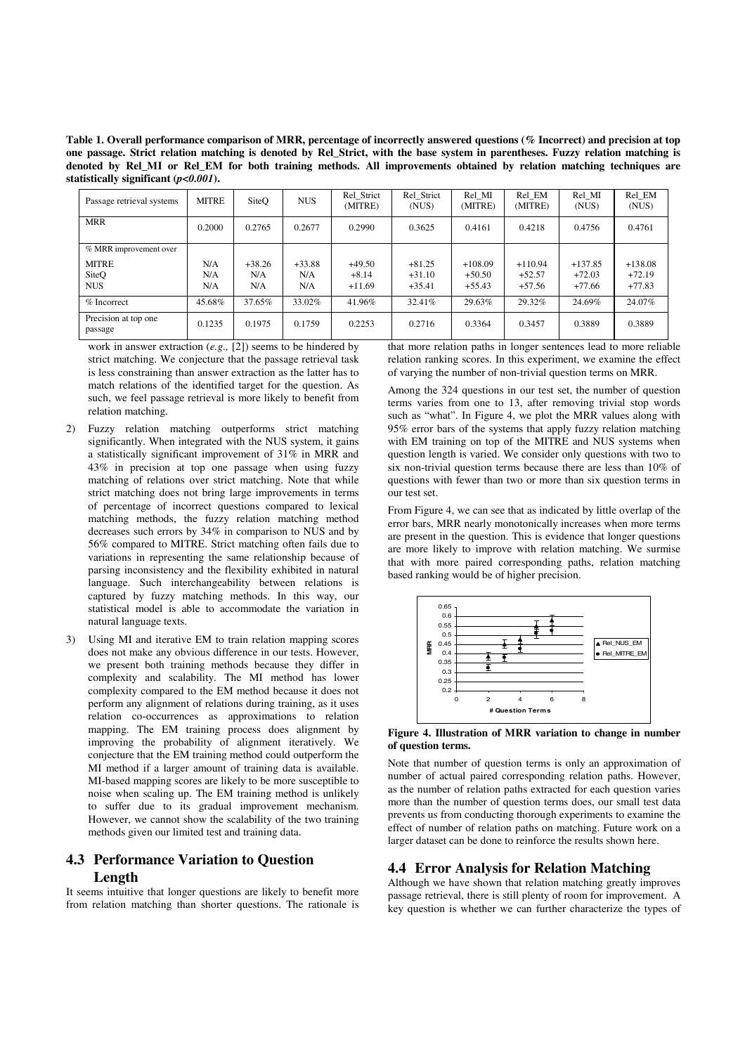**Table 1. Overall performance comparison of MRR, percentage of incorrectly answered questions (% Incorrect) and precision at top one passage. Strict relation matching is denoted by Rel\_Strict, with the base system in parentheses. Fuzzy relation matching is denoted by Rel\_MI or Rel\_EM for both training methods. All improvements obtained by relation matching techniques are statistically significant (***p<0.001***).** 

| Passage retrieval systems       | <b>MITRE</b> | SiteO    | <b>NUS</b> | Rel Strict<br>(MITRE) | Rel Strict<br>(NUS) | Rel MI<br>(MITRE) | Rel EM<br>(MITRE) | Rel MI<br>(NUS) | Rel EM<br>(NUS) |
|---------------------------------|--------------|----------|------------|-----------------------|---------------------|-------------------|-------------------|-----------------|-----------------|
| <b>MRR</b>                      | 0.2000       | 0.2765   | 0.2677     | 0.2990                | 0.3625              | 0.4161            | 0.4218            | 0.4756          | 0.4761          |
| % MRR improvement over          |              |          |            |                       |                     |                   |                   |                 |                 |
| <b>MITRE</b>                    | N/A          | $+38.26$ | $+33.88$   | $+49.50$              | $+81.25$            | $+108.09$         | $+110.94$         | $+137.85$       | $+138.08$       |
| SiteQ                           | N/A          | N/A      | N/A        | $+8.14$               | $+31.10$            | $+50.50$          | $+52.57$          | $+72.03$        | $+72.19$        |
| <b>NUS</b>                      | N/A          | N/A      | N/A        | $+11.69$              | $+35.41$            | $+55.43$          | $+57.56$          | $+77.66$        | $+77.83$        |
| % Incorrect                     | 45.68%       | 37.65%   | 33.02%     | 41.96%                | 32.41%              | 29.63%            | 29.32%            | 24.69%          | 24.07%          |
| Precision at top one<br>passage | 0.1235       | 0.1975   | 0.1759     | 0.2253                | 0.2716              | 0.3364            | 0.3457            | 0.3889          | 0.3889          |

work in answer extraction (*e.g.,* [2]) seems to be hindered by strict matching. We conjecture that the passage retrieval task is less constraining than answer extraction as the latter has to match relations of the identified target for the question. As such, we feel passage retrieval is more likely to benefit from relation matching.

- 2) Fuzzy relation matching outperforms strict matching significantly. When integrated with the NUS system, it gains a statistically significant improvement of 31% in MRR and 43% in precision at top one passage when using fuzzy matching of relations over strict matching. Note that while strict matching does not bring large improvements in terms of percentage of incorrect questions compared to lexical matching methods, the fuzzy relation matching method decreases such errors by 34% in comparison to NUS and by 56% compared to MITRE. Strict matching often fails due to variations in representing the same relationship because of parsing inconsistency and the flexibility exhibited in natural language. Such interchangeability between relations is captured by fuzzy matching methods. In this way, our statistical model is able to accommodate the variation in natural language texts.
- 3) Using MI and iterative EM to train relation mapping scores does not make any obvious difference in our tests. However, we present both training methods because they differ in complexity and scalability. The MI method has lower complexity compared to the EM method because it does not perform any alignment of relations during training, as it uses relation co-occurrences as approximations to relation mapping. The EM training process does alignment by improving the probability of alignment iteratively. We conjecture that the EM training method could outperform the MI method if a larger amount of training data is available. MI-based mapping scores are likely to be more susceptible to noise when scaling up. The EM training method is unlikely to suffer due to its gradual improvement mechanism. However, we cannot show the scalability of the two training methods given our limited test and training data.

# **4.3 Performance Variation to Question Length**

It seems intuitive that longer questions are likely to benefit more from relation matching than shorter questions. The rationale is that more relation paths in longer sentences lead to more reliable relation ranking scores. In this experiment, we examine the effect of varying the number of non-trivial question terms on MRR.

Among the 324 questions in our test set, the number of question terms varies from one to 13, after removing trivial stop words such as "what". In Figure 4, we plot the MRR values along with 95% error bars of the systems that apply fuzzy relation matching with EM training on top of the MITRE and NUS systems when question length is varied. We consider only questions with two to six non-trivial question terms because there are less than 10% of questions with fewer than two or more than six question terms in our test set.

From Figure 4, we can see that as indicated by little overlap of the error bars, MRR nearly monotonically increases when more terms are present in the question. This is evidence that longer questions are more likely to improve with relation matching. We surmise that with more paired corresponding paths, relation matching based ranking would be of higher precision.



**Figure 4. Illustration of MRR variation to change in number of question terms.** 

Note that number of question terms is only an approximation of number of actual paired corresponding relation paths. However, as the number of relation paths extracted for each question varies more than the number of question terms does, our small test data prevents us from conducting thorough experiments to examine the effect of number of relation paths on matching. Future work on a larger dataset can be done to reinforce the results shown here.

# **4.4 Error Analysis for Relation Matching**

Although we have shown that relation matching greatly improves passage retrieval, there is still plenty of room for improvement. A key question is whether we can further characterize the types of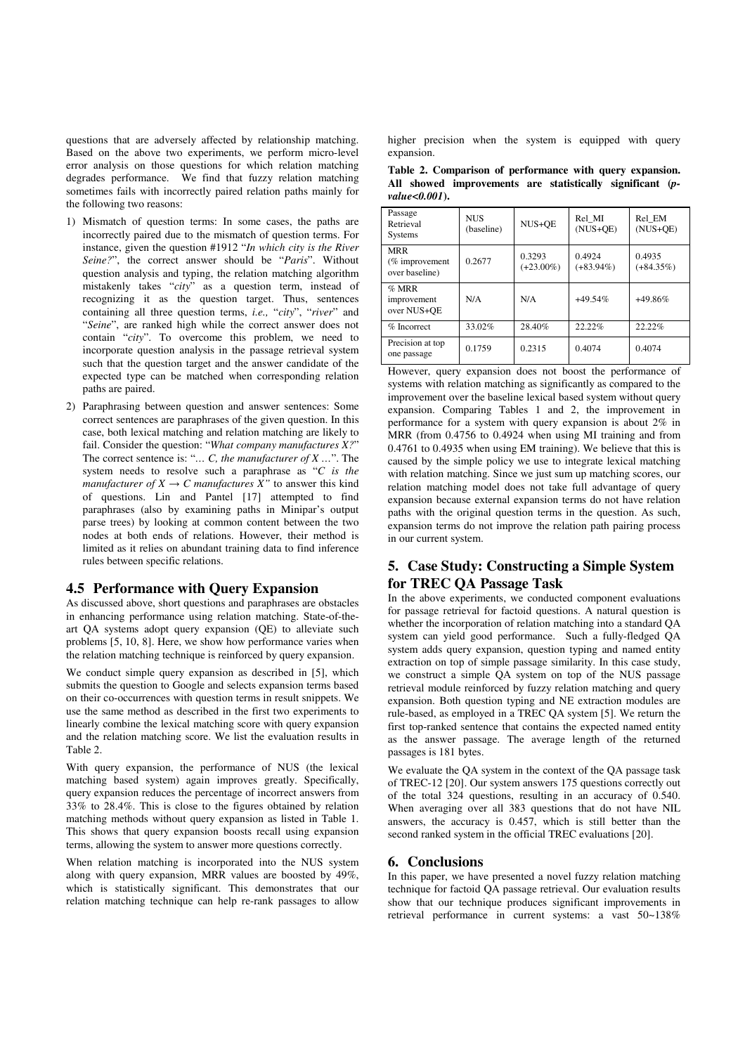questions that are adversely affected by relationship matching. Based on the above two experiments, we perform micro-level error analysis on those questions for which relation matching degrades performance. We find that fuzzy relation matching sometimes fails with incorrectly paired relation paths mainly for the following two reasons:

- 1) Mismatch of question terms: In some cases, the paths are incorrectly paired due to the mismatch of question terms. For instance, given the question #1912 "*In which city is the River Seine?*", the correct answer should be "*Paris*". Without question analysis and typing, the relation matching algorithm mistakenly takes "*city*" as a question term, instead of recognizing it as the question target. Thus, sentences containing all three question terms, *i.e.,* "*city*", "*river*" and "*Seine*", are ranked high while the correct answer does not contain "*city*". To overcome this problem, we need to incorporate question analysis in the passage retrieval system such that the question target and the answer candidate of the expected type can be matched when corresponding relation paths are paired.
- 2) Paraphrasing between question and answer sentences: Some correct sentences are paraphrases of the given question. In this case, both lexical matching and relation matching are likely to fail. Consider the question: "*What company manufactures X?*" The correct sentence is: "*… C, the manufacturer of X …*". The system needs to resolve such a paraphrase as "*C is the manufacturer of*  $X \to C$  *manufactures*  $\overline{X}$ <sup>"</sup> to answer this kind of questions. Lin and Pantel [17] attempted to find paraphrases (also by examining paths in Minipar's output parse trees) by looking at common content between the two nodes at both ends of relations. However, their method is limited as it relies on abundant training data to find inference rules between specific relations.

# **4.5 Performance with Query Expansion**

As discussed above, short questions and paraphrases are obstacles in enhancing performance using relation matching. State-of-theart QA systems adopt query expansion (QE) to alleviate such problems [5, 10, 8]. Here, we show how performance varies when the relation matching technique is reinforced by query expansion.

We conduct simple query expansion as described in [5], which submits the question to Google and selects expansion terms based on their co-occurrences with question terms in result snippets. We use the same method as described in the first two experiments to linearly combine the lexical matching score with query expansion and the relation matching score. We list the evaluation results in Table 2.

With query expansion, the performance of NUS (the lexical matching based system) again improves greatly. Specifically, query expansion reduces the percentage of incorrect answers from 33% to 28.4%. This is close to the figures obtained by relation matching methods without query expansion as listed in Table 1. This shows that query expansion boosts recall using expansion terms, allowing the system to answer more questions correctly.

When relation matching is incorporated into the NUS system along with query expansion, MRR values are boosted by 49%, which is statistically significant. This demonstrates that our relation matching technique can help re-rank passages to allow

higher precision when the system is equipped with query expansion.

|                   | Table 2. Comparison of performance with query expansion.  |  |  |
|-------------------|-----------------------------------------------------------|--|--|
|                   | All showed improvements are statistically significant (p- |  |  |
| $value < 0.001$ . |                                                           |  |  |

| Passage<br>Retrieval<br><b>Systems</b>          | <b>NUS</b><br>(baseline) | NUS+QE                 | Rel MI<br>$(NUS+QE)$   | Rel EM<br>$(NUS+QE)$   |
|-------------------------------------------------|--------------------------|------------------------|------------------------|------------------------|
| <b>MRR</b><br>$%$ improvement<br>over baseline) | 0.2677                   | 0.3293<br>$(+23.00\%)$ | 0.4924<br>$(+83.94\%)$ | 0.4935<br>$(+84.35\%)$ |
| $%$ MRR<br>improvement<br>over NUS+OE           | N/A                      | N/A                    | $+49.54%$              | $+49.86%$              |
| $%$ Incorrect                                   | 33.02%                   | 28.40%                 | 22.22%                 | 22.22%                 |
| Precision at top<br>one passage                 | 0.1759                   | 0.2315                 | 0.4074                 | 0.4074                 |

However, query expansion does not boost the performance of systems with relation matching as significantly as compared to the improvement over the baseline lexical based system without query expansion. Comparing Tables 1 and 2, the improvement in performance for a system with query expansion is about 2% in MRR (from 0.4756 to 0.4924 when using MI training and from 0.4761 to 0.4935 when using EM training). We believe that this is caused by the simple policy we use to integrate lexical matching with relation matching. Since we just sum up matching scores, our relation matching model does not take full advantage of query expansion because external expansion terms do not have relation paths with the original question terms in the question. As such, expansion terms do not improve the relation path pairing process in our current system.

# **5. Case Study: Constructing a Simple System for TREC QA Passage Task**

In the above experiments, we conducted component evaluations for passage retrieval for factoid questions. A natural question is whether the incorporation of relation matching into a standard QA system can yield good performance. Such a fully-fledged QA system adds query expansion, question typing and named entity extraction on top of simple passage similarity. In this case study, we construct a simple QA system on top of the NUS passage retrieval module reinforced by fuzzy relation matching and query expansion. Both question typing and NE extraction modules are rule-based, as employed in a TREC QA system [5]. We return the first top-ranked sentence that contains the expected named entity as the answer passage. The average length of the returned passages is 181 bytes.

We evaluate the OA system in the context of the OA passage task of TREC-12 [20]. Our system answers 175 questions correctly out of the total 324 questions, resulting in an accuracy of 0.540. When averaging over all 383 questions that do not have NIL answers, the accuracy is 0.457, which is still better than the second ranked system in the official TREC evaluations [20].

#### **6. Conclusions**

In this paper, we have presented a novel fuzzy relation matching technique for factoid QA passage retrieval. Our evaluation results show that our technique produces significant improvements in retrieval performance in current systems: a vast 50~138%